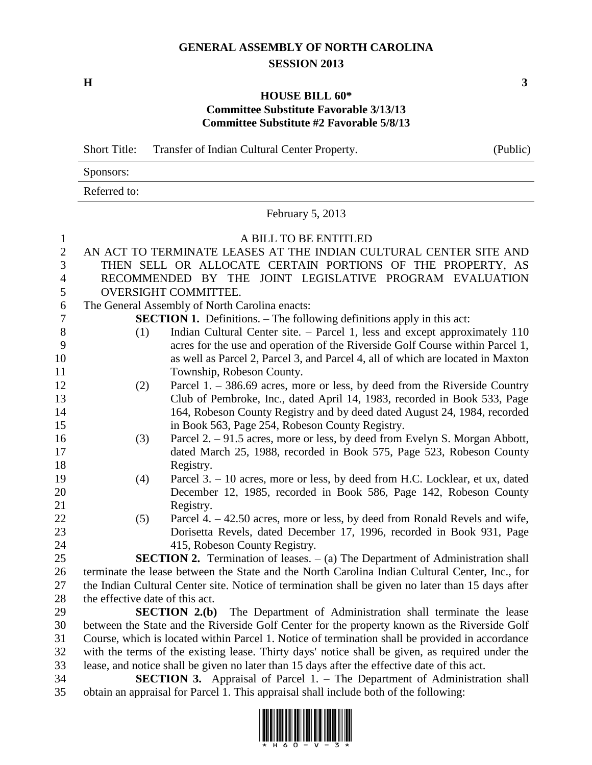## **GENERAL ASSEMBLY OF NORTH CAROLINA SESSION 2013**

**H 3**

## **HOUSE BILL 60\* Committee Substitute Favorable 3/13/13 Committee Substitute #2 Favorable 5/8/13**

Short Title: Transfer of Indian Cultural Center Property. (Public)

| Sponsors:    |  |  |  |
|--------------|--|--|--|
| Referred to: |  |  |  |

February 5, 2013

| $\mathbf{1}$   |                                                                                                                                                                                                    | A BILL TO BE ENTITLED                                                                             |  |  |  |
|----------------|----------------------------------------------------------------------------------------------------------------------------------------------------------------------------------------------------|---------------------------------------------------------------------------------------------------|--|--|--|
| $\mathbf{2}$   | AN ACT TO TERMINATE LEASES AT THE INDIAN CULTURAL CENTER SITE AND                                                                                                                                  |                                                                                                   |  |  |  |
| $\overline{3}$ |                                                                                                                                                                                                    | THEN SELL OR ALLOCATE CERTAIN PORTIONS OF THE PROPERTY, AS                                        |  |  |  |
| $\overline{4}$ |                                                                                                                                                                                                    | RECOMMENDED BY THE JOINT LEGISLATIVE PROGRAM EVALUATION                                           |  |  |  |
| 5              |                                                                                                                                                                                                    | <b>OVERSIGHT COMMITTEE.</b>                                                                       |  |  |  |
| 6              |                                                                                                                                                                                                    | The General Assembly of North Carolina enacts:                                                    |  |  |  |
| $\tau$         |                                                                                                                                                                                                    | <b>SECTION 1.</b> Definitions. – The following definitions apply in this act:                     |  |  |  |
| $8\,$          | (1)                                                                                                                                                                                                | Indian Cultural Center site. – Parcel 1, less and except approximately 110                        |  |  |  |
| 9              |                                                                                                                                                                                                    | acres for the use and operation of the Riverside Golf Course within Parcel 1,                     |  |  |  |
| 10             |                                                                                                                                                                                                    | as well as Parcel 2, Parcel 3, and Parcel 4, all of which are located in Maxton                   |  |  |  |
| 11             |                                                                                                                                                                                                    | Township, Robeson County.                                                                         |  |  |  |
| 12             | (2)                                                                                                                                                                                                | Parcel 1. $-$ 386.69 acres, more or less, by deed from the Riverside Country                      |  |  |  |
| 13             |                                                                                                                                                                                                    | Club of Pembroke, Inc., dated April 14, 1983, recorded in Book 533, Page                          |  |  |  |
| 14             |                                                                                                                                                                                                    | 164, Robeson County Registry and by deed dated August 24, 1984, recorded                          |  |  |  |
| 15             |                                                                                                                                                                                                    | in Book 563, Page 254, Robeson County Registry.                                                   |  |  |  |
| 16             | (3)                                                                                                                                                                                                | Parcel 2. – 91.5 acres, more or less, by deed from Evelyn S. Morgan Abbott,                       |  |  |  |
| 17             |                                                                                                                                                                                                    | dated March 25, 1988, recorded in Book 575, Page 523, Robeson County                              |  |  |  |
| 18             |                                                                                                                                                                                                    | Registry.                                                                                         |  |  |  |
| 19             | (4)                                                                                                                                                                                                | Parcel 3. - 10 acres, more or less, by deed from H.C. Locklear, et ux, dated                      |  |  |  |
| 20             |                                                                                                                                                                                                    | December 12, 1985, recorded in Book 586, Page 142, Robeson County                                 |  |  |  |
| 21             |                                                                                                                                                                                                    | Registry.                                                                                         |  |  |  |
| 22             | (5)                                                                                                                                                                                                | Parcel 4. – 42.50 acres, more or less, by deed from Ronald Revels and wife,                       |  |  |  |
| 23             |                                                                                                                                                                                                    | Dorisetta Revels, dated December 17, 1996, recorded in Book 931, Page                             |  |  |  |
| 24             |                                                                                                                                                                                                    | 415, Robeson County Registry.                                                                     |  |  |  |
| 25             |                                                                                                                                                                                                    | <b>SECTION 2.</b> Termination of leases. $-$ (a) The Department of Administration shall           |  |  |  |
| 26             |                                                                                                                                                                                                    | terminate the lease between the State and the North Carolina Indian Cultural Center, Inc., for    |  |  |  |
| 27             |                                                                                                                                                                                                    | the Indian Cultural Center site. Notice of termination shall be given no later than 15 days after |  |  |  |
| 28             | the effective date of this act.                                                                                                                                                                    |                                                                                                   |  |  |  |
| 29             | <b>SECTION 2.(b)</b> The Department of Administration shall terminate the lease                                                                                                                    |                                                                                                   |  |  |  |
| 30<br>31       | between the State and the Riverside Golf Center for the property known as the Riverside Golf                                                                                                       |                                                                                                   |  |  |  |
| 32             | Course, which is located within Parcel 1. Notice of termination shall be provided in accordance<br>with the terms of the existing lease. Thirty days' notice shall be given, as required under the |                                                                                                   |  |  |  |
| 33             | lease, and notice shall be given no later than 15 days after the effective date of this act.                                                                                                       |                                                                                                   |  |  |  |
|                | $\sim$ $\sim$ $\sim$ $\sim$ $\sim$                                                                                                                                                                 |                                                                                                   |  |  |  |

 **SECTION 3.** Appraisal of Parcel 1. – The Department of Administration shall obtain an appraisal for Parcel 1. This appraisal shall include both of the following: